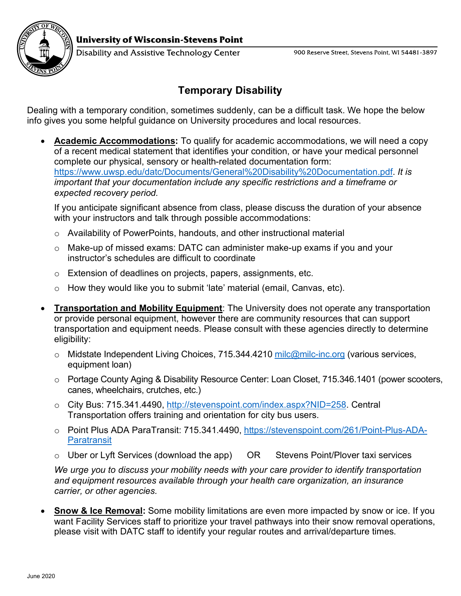

Disability and Assistive Technology Center

## **Temporary Disability**

Dealing with a temporary condition, sometimes suddenly, can be a difficult task. We hope the below info gives you some helpful guidance on University procedures and local resources.

• **Academic Accommodations:** To qualify for academic accommodations, we will need a copy of a recent medical statement that identifies your condition, or have your medical personnel complete our physical, sensory or health-related documentation form: [https://www.uwsp.edu/datc/Documents/General%20Disability%20Documentation.pdf.](https://www.uwsp.edu/datc/Documents/General%20Disability%20Documentation.pdf) *It is important that your documentation include any specific restrictions and a timeframe or expected recovery period.*

If you anticipate significant absence from class, please discuss the duration of your absence with your instructors and talk through possible accommodations:

- o Availability of PowerPoints, handouts, and other instructional material
- o Make-up of missed exams: DATC can administer make-up exams if you and your instructor's schedules are difficult to coordinate
- o Extension of deadlines on projects, papers, assignments, etc.
- o How they would like you to submit 'late' material (email, Canvas, etc).
- **Transportation and Mobility Equipment**: The University does not operate any transportation or provide personal equipment, however there are community resources that can support transportation and equipment needs. Please consult with these agencies directly to determine eligibility:
	- $\circ$  Midstate Independent Living Choices, 715.344.4210 [milc@milc-inc.org](mailto:milc@milc-inc.org) (various services, equipment loan)
	- o Portage County Aging & Disability Resource Center: Loan Closet, 715.346.1401 (power scooters, canes, wheelchairs, crutches, etc.)
	- o City Bus: 715.341.4490, [http://stevenspoint.com/index.aspx?NID=258.](http://stevenspoint.com/index.aspx?NID=258) Central Transportation offers training and orientation for city bus users.
	- o Point Plus ADA ParaTransit: 715.341.4490, [https://stevenspoint.com/261/Point-Plus-ADA-](https://stevenspoint.com/261/Point-Plus-ADA-Paratransit)**[Paratransit](https://stevenspoint.com/261/Point-Plus-ADA-Paratransit)**
	- o Uber or Lyft Services (download the app) OR Stevens Point/Plover taxi services

*We urge you to discuss your mobility needs with your care provider to identify transportation and equipment resources available through your health care organization, an insurance carrier, or other agencies.* 

• **Snow & Ice Removal:** Some mobility limitations are even more impacted by snow or ice. If you want Facility Services staff to prioritize your travel pathways into their snow removal operations, please visit with DATC staff to identify your regular routes and arrival/departure times.